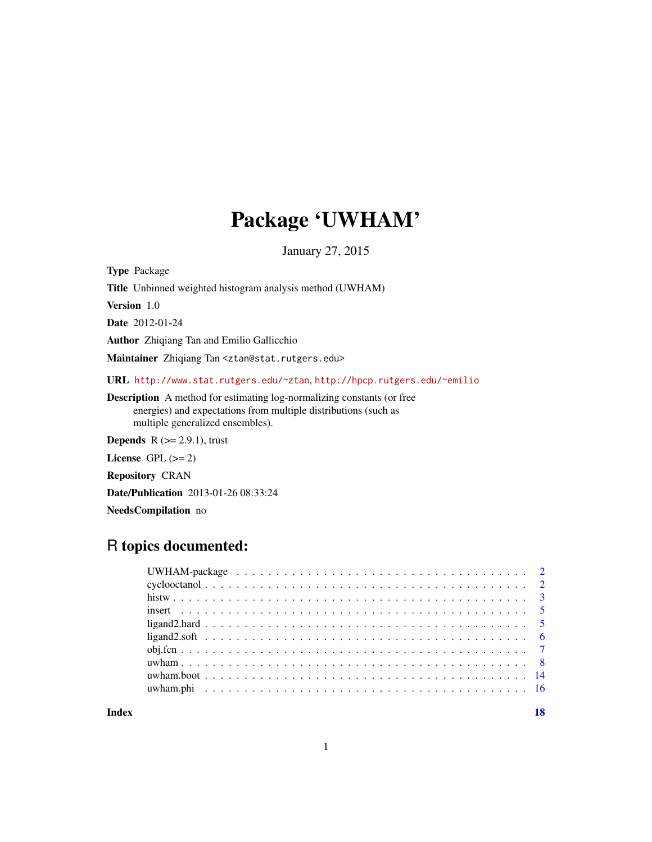## Package 'UWHAM'

January 27, 2015

Type Package

Title Unbinned weighted histogram analysis method (UWHAM)

Version 1.0

Date 2012-01-24

Author Zhiqiang Tan and Emilio Gallicchio

Maintainer Zhiqiang Tan <ztan@stat.rutgers.edu>

URL <http://www.stat.rutgers.edu/~ztan>, <http://hpcp.rutgers.edu/~emilio>

Description A method for estimating log-normalizing constants (or free energies) and expectations from multiple distributions (such as multiple generalized ensembles).

**Depends** R  $(>= 2.9.1)$ , trust

License GPL  $(>= 2)$ 

Repository CRAN

Date/Publication 2013-01-26 08:33:24

NeedsCompilation no

## R topics documented:

| $ligand 2. soft \dots \dots \dots \dots \dots \dots \dots \dots \dots \dots \dots \dots \dots \dots \dots \dots \dots$ |  |
|------------------------------------------------------------------------------------------------------------------------|--|
|                                                                                                                        |  |
|                                                                                                                        |  |
|                                                                                                                        |  |
|                                                                                                                        |  |
|                                                                                                                        |  |

**Index** 2008 **[18](#page-17-0)**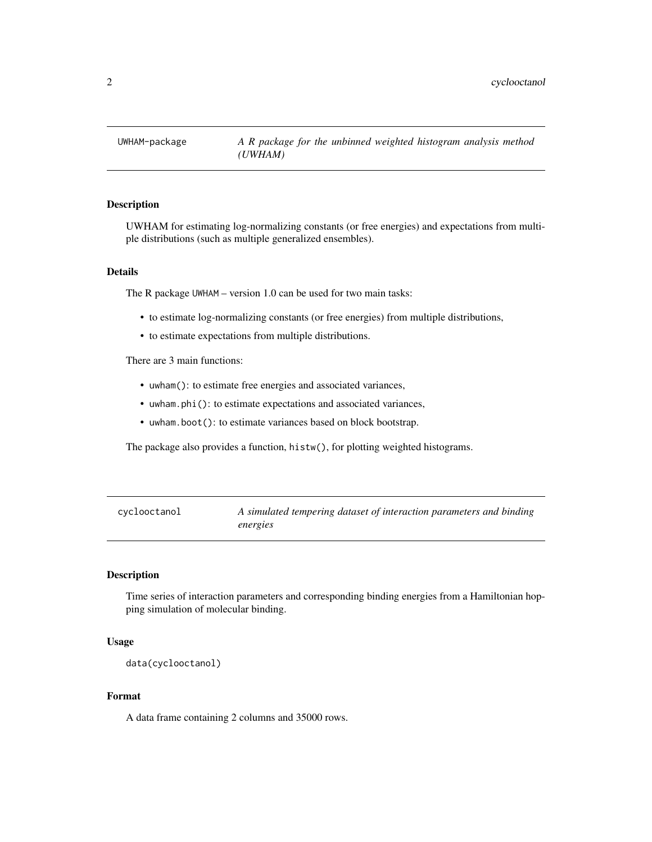<span id="page-1-0"></span>

## **Description**

UWHAM for estimating log-normalizing constants (or free energies) and expectations from multiple distributions (such as multiple generalized ensembles).

## Details

The R package UWHAM – version 1.0 can be used for two main tasks:

- to estimate log-normalizing constants (or free energies) from multiple distributions,
- to estimate expectations from multiple distributions.

There are 3 main functions:

- uwham(): to estimate free energies and associated variances,
- uwham.phi(): to estimate expectations and associated variances,
- uwham.boot(): to estimate variances based on block bootstrap.

The package also provides a function, histw(), for plotting weighted histograms.

| cyclooctanol | A simulated tempering dataset of interaction parameters and binding |
|--------------|---------------------------------------------------------------------|
|              | energies                                                            |

#### Description

Time series of interaction parameters and corresponding binding energies from a Hamiltonian hopping simulation of molecular binding.

#### Usage

```
data(cyclooctanol)
```
## Format

A data frame containing 2 columns and 35000 rows.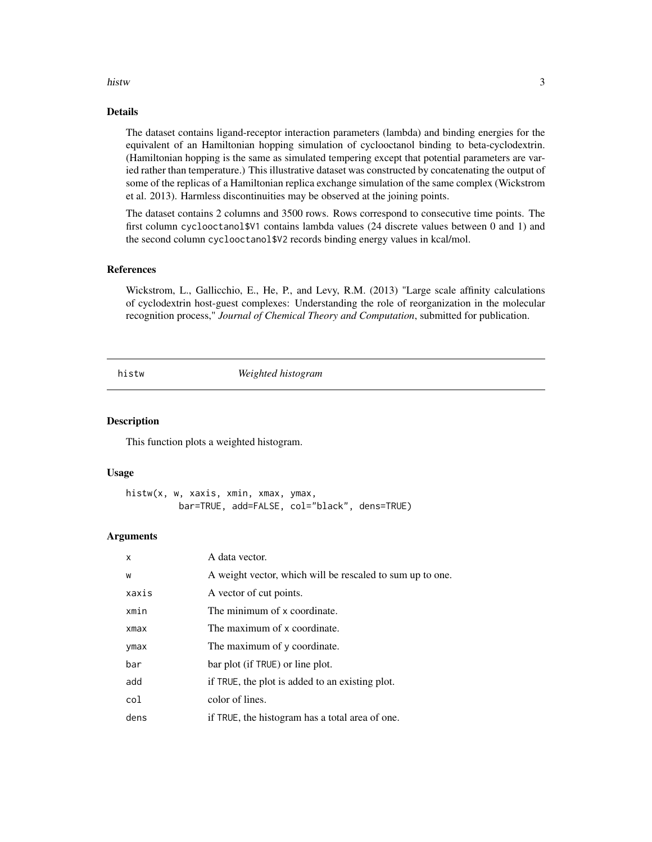#### <span id="page-2-0"></span>histwet the contract of the contract of the contract of the contract of the contract of the contract of the contract of the contract of the contract of the contract of the contract of the contract of the contract of the co

## Details

The dataset contains ligand-receptor interaction parameters (lambda) and binding energies for the equivalent of an Hamiltonian hopping simulation of cyclooctanol binding to beta-cyclodextrin. (Hamiltonian hopping is the same as simulated tempering except that potential parameters are varied rather than temperature.) This illustrative dataset was constructed by concatenating the output of some of the replicas of a Hamiltonian replica exchange simulation of the same complex (Wickstrom et al. 2013). Harmless discontinuities may be observed at the joining points.

The dataset contains 2 columns and 3500 rows. Rows correspond to consecutive time points. The first column cyclooctanol\$V1 contains lambda values (24 discrete values between 0 and 1) and the second column cyclooctanol\$V2 records binding energy values in kcal/mol.

## References

Wickstrom, L., Gallicchio, E., He, P., and Levy, R.M. (2013) "Large scale affinity calculations of cyclodextrin host-guest complexes: Understanding the role of reorganization in the molecular recognition process," *Journal of Chemical Theory and Computation*, submitted for publication.

## histw *Weighted histogram*

## Description

This function plots a weighted histogram.

## Usage

```
histw(x, w, xaxis, xmin, xmax, ymax,
          bar=TRUE, add=FALSE, col="black", dens=TRUE)
```
#### Arguments

| x     | A data vector.                                            |
|-------|-----------------------------------------------------------|
| W     | A weight vector, which will be rescaled to sum up to one. |
| xaxis | A vector of cut points.                                   |
| xmin  | The minimum of x coordinate.                              |
| xmax  | The maximum of x coordinate.                              |
| ymax  | The maximum of y coordinate.                              |
| bar   | bar plot (if TRUE) or line plot.                          |
| add   | if TRUE, the plot is added to an existing plot.           |
| col   | color of lines.                                           |
| dens  | if TRUE, the histogram has a total area of one.           |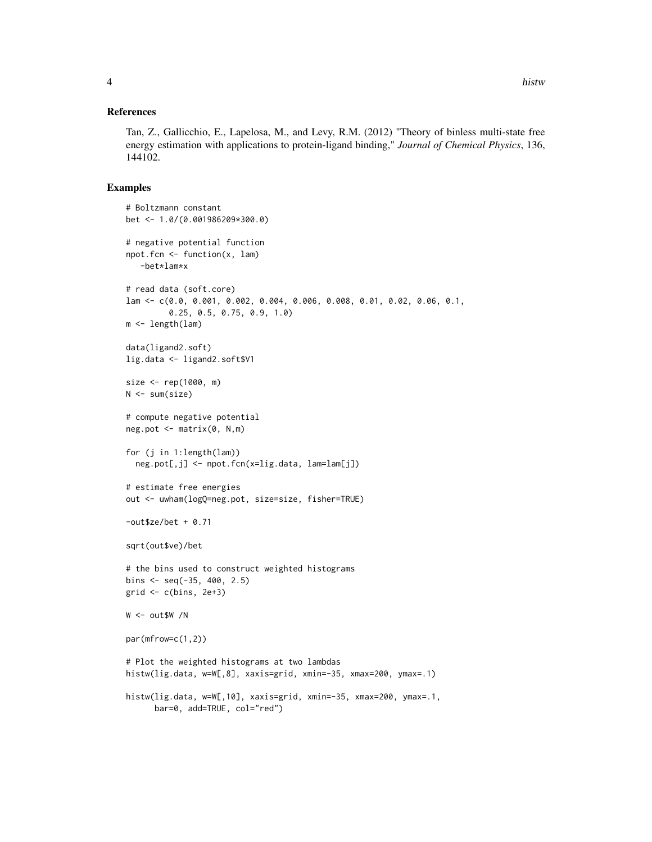#### References

Tan, Z., Gallicchio, E., Lapelosa, M., and Levy, R.M. (2012) "Theory of binless multi-state free energy estimation with applications to protein-ligand binding," *Journal of Chemical Physics*, 136, 144102.

#### Examples

```
# Boltzmann constant
bet <- 1.0/(0.001986209*300.0)
# negative potential function
npot.fcn <- function(x, lam)
   -bet*lam*x
# read data (soft.core)
lam <- c(0.0, 0.001, 0.002, 0.004, 0.006, 0.008, 0.01, 0.02, 0.06, 0.1,
         0.25, 0.5, 0.75, 0.9, 1.0)
m <- length(lam)
data(ligand2.soft)
lig.data <- ligand2.soft$V1
size \leq rep(1000, m)
N < - sum(size)
# compute negative potential
neg.pot \leq maxrix(0, N,m)for (j in 1:length(lam))
  neg.pot[,j] <- npot.fcn(x=lig.data, lam=lam[j])
# estimate free energies
out <- uwham(logQ=neg.pot, size=size, fisher=TRUE)
-out$ze/bet + 0.71
sqrt(out$ve)/bet
# the bins used to construct weighted histograms
bins \leq seq(-35, 400, 2.5)
grid \leftarrow c(bins, 2e+3)W < - out$W /N
par(mfrow=c(1,2))
# Plot the weighted histograms at two lambdas
histw(lig.data, w=W[,8], xaxis=grid, xmin=-35, xmax=200, ymax=.1)
histw(lig.data, w=W[,10], xaxis=grid, xmin=-35, xmax=200, ymax=.1,
      bar=0, add=TRUE, col="red")
```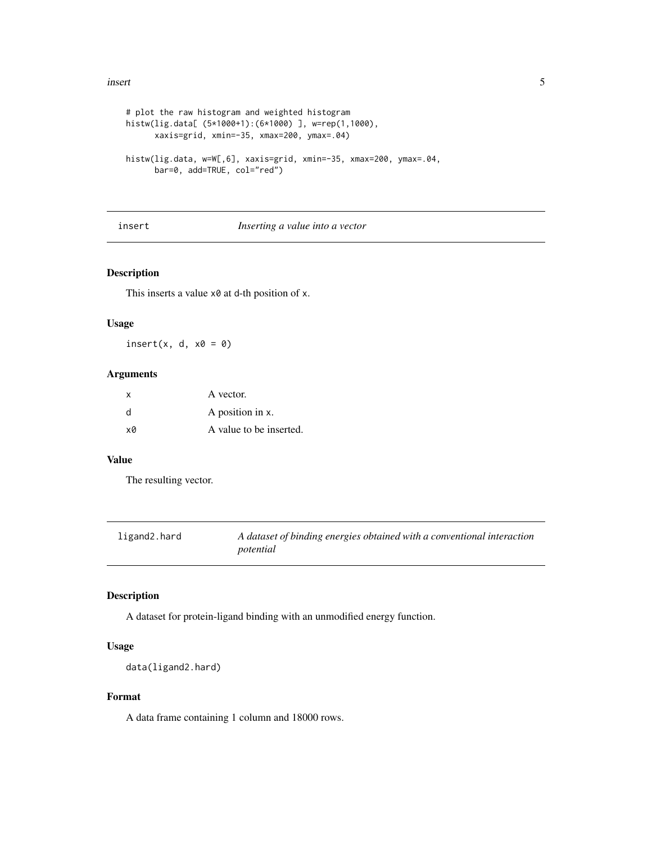#### <span id="page-4-0"></span>insert 5

```
# plot the raw histogram and weighted histogram
histw(lig.data[ (5*1000+1):(6*1000) ], w=rep(1,1000),
      xaxis=grid, xmin=-35, xmax=200, ymax=.04)
histw(lig.data, w=W[,6], xaxis=grid, xmin=-35, xmax=200, ymax=.04,
      bar=0, add=TRUE, col="red")
```
## insert *Inserting a value into a vector*

## Description

This inserts a value  $\times\emptyset$  at d-th position of x.

#### Usage

insert(x, d,  $x0 = 0$ )

## Arguments

| x  | A vector.               |
|----|-------------------------|
| d  | A position in x.        |
| xØ | A value to be inserted. |

## Value

The resulting vector.

<span id="page-4-1"></span>

| ligand2.hard | A dataset of binding energies obtained with a conventional interaction |
|--------------|------------------------------------------------------------------------|
|              | potential                                                              |

## Description

A dataset for protein-ligand binding with an unmodified energy function.

## Usage

data(ligand2.hard)

## Format

A data frame containing 1 column and 18000 rows.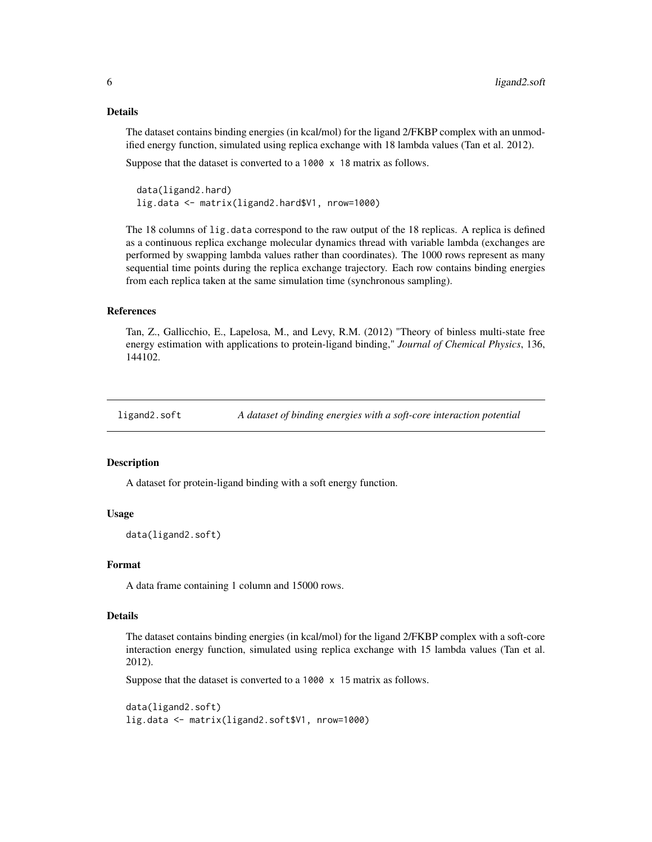#### Details

The dataset contains binding energies (in kcal/mol) for the ligand 2/FKBP complex with an unmodified energy function, simulated using replica exchange with 18 lambda values (Tan et al. 2012).

Suppose that the dataset is converted to a 1000 x 18 matrix as follows.

```
data(ligand2.hard)
lig.data <- matrix(ligand2.hard$V1, nrow=1000)
```
The 18 columns of lig.data correspond to the raw output of the 18 replicas. A replica is defined as a continuous replica exchange molecular dynamics thread with variable lambda (exchanges are performed by swapping lambda values rather than coordinates). The 1000 rows represent as many sequential time points during the replica exchange trajectory. Each row contains binding energies from each replica taken at the same simulation time (synchronous sampling).

#### References

Tan, Z., Gallicchio, E., Lapelosa, M., and Levy, R.M. (2012) "Theory of binless multi-state free energy estimation with applications to protein-ligand binding," *Journal of Chemical Physics*, 136, 144102.

<span id="page-5-1"></span>ligand2.soft *A dataset of binding energies with a soft-core interaction potential*

#### Description

A dataset for protein-ligand binding with a soft energy function.

#### Usage

```
data(ligand2.soft)
```
#### Format

A data frame containing 1 column and 15000 rows.

## Details

The dataset contains binding energies (in kcal/mol) for the ligand 2/FKBP complex with a soft-core interaction energy function, simulated using replica exchange with 15 lambda values (Tan et al. 2012).

Suppose that the dataset is converted to a 1000 x 15 matrix as follows.

```
data(ligand2.soft)
lig.data <- matrix(ligand2.soft$V1, nrow=1000)
```
<span id="page-5-0"></span>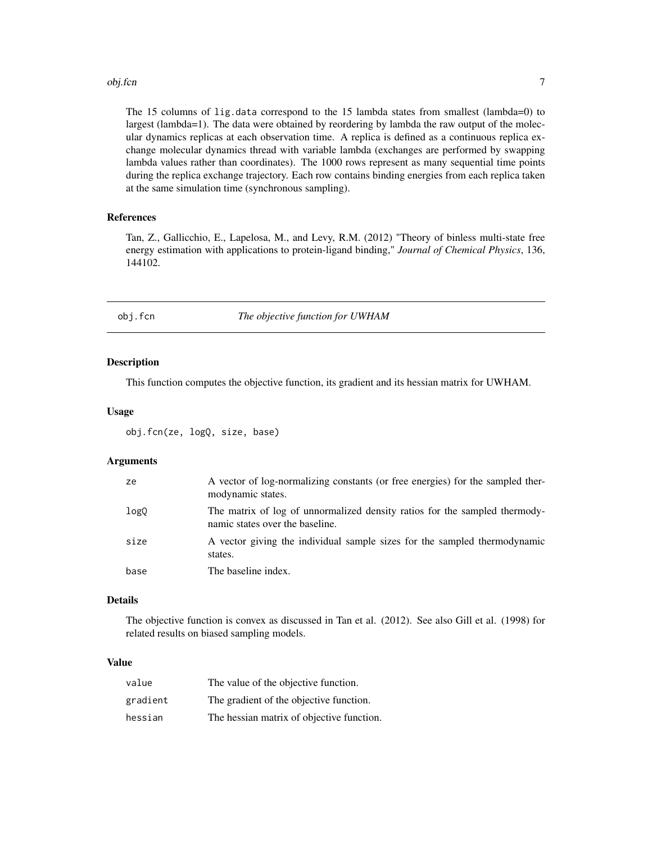#### <span id="page-6-0"></span>obj.fcn 7

The 15 columns of lig.data correspond to the 15 lambda states from smallest (lambda=0) to largest (lambda=1). The data were obtained by reordering by lambda the raw output of the molecular dynamics replicas at each observation time. A replica is defined as a continuous replica exchange molecular dynamics thread with variable lambda (exchanges are performed by swapping lambda values rather than coordinates). The 1000 rows represent as many sequential time points during the replica exchange trajectory. Each row contains binding energies from each replica taken at the same simulation time (synchronous sampling).

## References

Tan, Z., Gallicchio, E., Lapelosa, M., and Levy, R.M. (2012) "Theory of binless multi-state free energy estimation with applications to protein-ligand binding," *Journal of Chemical Physics*, 136, 144102.

## obj.fcn *The objective function for UWHAM*

#### Description

This function computes the objective function, its gradient and its hessian matrix for UWHAM.

#### Usage

obj.fcn(ze, logQ, size, base)

#### Arguments

| ze   | A vector of log-normalizing constants (or free energies) for the sampled ther-<br>modynamic states.           |
|------|---------------------------------------------------------------------------------------------------------------|
| logQ | The matrix of log of unnormalized density ratios for the sampled thermody-<br>namic states over the baseline. |
| size | A vector giving the individual sample sizes for the sampled thermodynamic<br>states.                          |
| base | The baseline index.                                                                                           |

#### Details

The objective function is convex as discussed in Tan et al. (2012). See also Gill et al. (1998) for related results on biased sampling models.

| value    | The value of the objective function.      |
|----------|-------------------------------------------|
| gradient | The gradient of the objective function.   |
| hessian  | The hessian matrix of objective function. |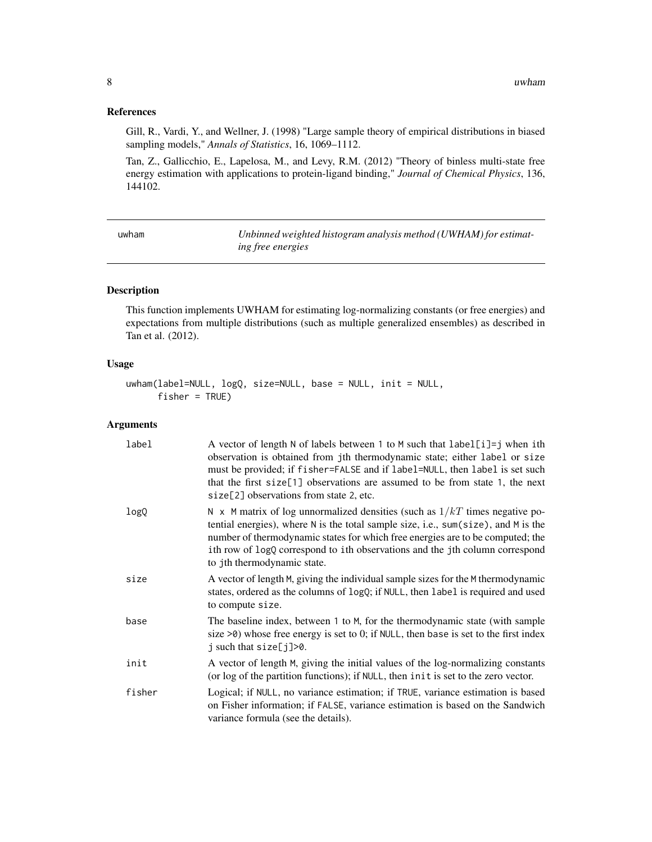#### <span id="page-7-0"></span>References

Gill, R., Vardi, Y., and Wellner, J. (1998) "Large sample theory of empirical distributions in biased sampling models," *Annals of Statistics*, 16, 1069–1112.

Tan, Z., Gallicchio, E., Lapelosa, M., and Levy, R.M. (2012) "Theory of binless multi-state free energy estimation with applications to protein-ligand binding," *Journal of Chemical Physics*, 136, 144102.

<span id="page-7-1"></span>

n *Unbinned weighted histogram analysis method (UWHAM) for estimating free energies*

#### Description

This function implements UWHAM for estimating log-normalizing constants (or free energies) and expectations from multiple distributions (such as multiple generalized ensembles) as described in Tan et al. (2012).

#### Usage

```
uwham(label=NULL, logQ, size=NULL, base = NULL, init = NULL,
     fisher = TRUE)
```
#### Arguments

| label  | A vector of length N of labels between 1 to M such that label[i]=j when ith<br>observation is obtained from jth thermodynamic state; either label or size<br>must be provided; if fisher=FALSE and if label=NULL, then label is set such<br>that the first size[1] observations are assumed to be from state 1, the next<br>$size[2]$ observations from state 2, etc. |
|--------|-----------------------------------------------------------------------------------------------------------------------------------------------------------------------------------------------------------------------------------------------------------------------------------------------------------------------------------------------------------------------|
| logQ   | N x M matrix of log unnormalized densities (such as $1/kT$ times negative po-<br>tential energies), where N is the total sample size, i.e., sum(size), and M is the<br>number of thermodynamic states for which free energies are to be computed; the<br>ith row of logQ correspond to ith observations and the jth column correspond<br>to jth thermodynamic state.  |
| size   | A vector of length M, giving the individual sample sizes for the M thermodynamic<br>states, ordered as the columns of logQ; if NULL, then label is required and used<br>to compute size.                                                                                                                                                                              |
| base   | The baseline index, between 1 to M, for the thermodynamic state (with sample<br>size $>0$ ) whose free energy is set to 0; if NULL, then base is set to the first index<br>j such that $size[j] > 0$ .                                                                                                                                                                |
| init   | A vector of length M, giving the initial values of the log-normalizing constants<br>(or log of the partition functions); if NULL, then init is set to the zero vector.                                                                                                                                                                                                |
| fisher | Logical; if NULL, no variance estimation; if TRUE, variance estimation is based<br>on Fisher information; if FALSE, variance estimation is based on the Sandwich<br>variance formula (see the details).                                                                                                                                                               |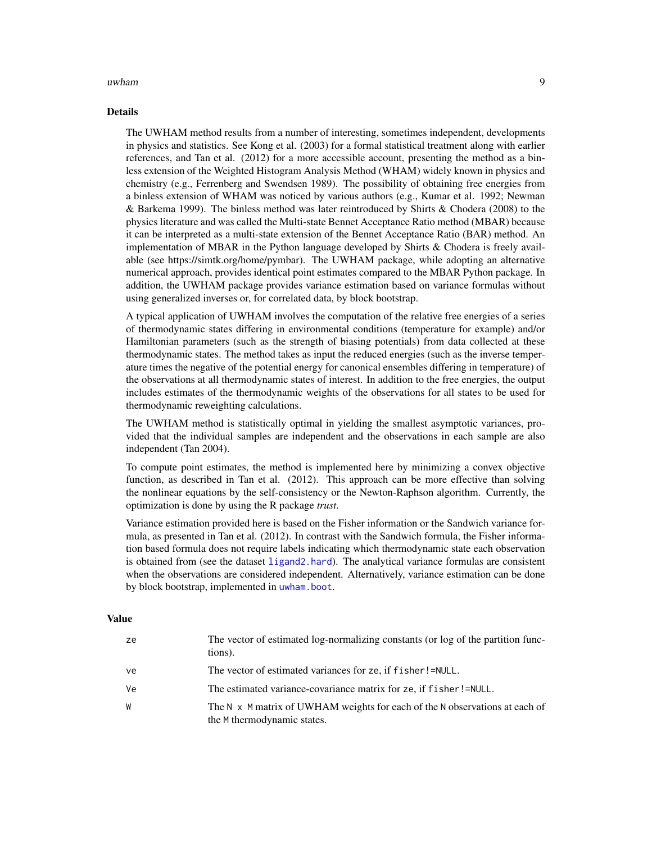#### <span id="page-8-0"></span>uwham 9

#### Details

The UWHAM method results from a number of interesting, sometimes independent, developments in physics and statistics. See Kong et al. (2003) for a formal statistical treatment along with earlier references, and Tan et al. (2012) for a more accessible account, presenting the method as a binless extension of the Weighted Histogram Analysis Method (WHAM) widely known in physics and chemistry (e.g., Ferrenberg and Swendsen 1989). The possibility of obtaining free energies from a binless extension of WHAM was noticed by various authors (e.g., Kumar et al. 1992; Newman & Barkema 1999). The binless method was later reintroduced by Shirts & Chodera (2008) to the physics literature and was called the Multi-state Bennet Acceptance Ratio method (MBAR) because it can be interpreted as a multi-state extension of the Bennet Acceptance Ratio (BAR) method. An implementation of MBAR in the Python language developed by Shirts & Chodera is freely available (see https://simtk.org/home/pymbar). The UWHAM package, while adopting an alternative numerical approach, provides identical point estimates compared to the MBAR Python package. In addition, the UWHAM package provides variance estimation based on variance formulas without using generalized inverses or, for correlated data, by block bootstrap.

A typical application of UWHAM involves the computation of the relative free energies of a series of thermodynamic states differing in environmental conditions (temperature for example) and/or Hamiltonian parameters (such as the strength of biasing potentials) from data collected at these thermodynamic states. The method takes as input the reduced energies (such as the inverse temperature times the negative of the potential energy for canonical ensembles differing in temperature) of the observations at all thermodynamic states of interest. In addition to the free energies, the output includes estimates of the thermodynamic weights of the observations for all states to be used for thermodynamic reweighting calculations.

The UWHAM method is statistically optimal in yielding the smallest asymptotic variances, provided that the individual samples are independent and the observations in each sample are also independent (Tan 2004).

To compute point estimates, the method is implemented here by minimizing a convex objective function, as described in Tan et al. (2012). This approach can be more effective than solving the nonlinear equations by the self-consistency or the Newton-Raphson algorithm. Currently, the optimization is done by using the R package *trust*.

Variance estimation provided here is based on the Fisher information or the Sandwich variance formula, as presented in Tan et al. (2012). In contrast with the Sandwich formula, the Fisher information based formula does not require labels indicating which thermodynamic state each observation is obtained from (see the dataset [ligand2.hard](#page-4-1)). The analytical variance formulas are consistent when the observations are considered independent. Alternatively, variance estimation can be done by block bootstrap, implemented in [uwham.boot](#page-13-1).

| ze | The vector of estimated log-normalizing constants (or log of the partition func-<br>tions).                |
|----|------------------------------------------------------------------------------------------------------------|
| ve | The vector of estimated variances for ze, if f i sher!=NULL.                                               |
| Ve | The estimated variance-covariance matrix for ze, if fisher!=NULL.                                          |
| W  | The N x M matrix of UWHAM weights for each of the N observations at each of<br>the M thermodynamic states. |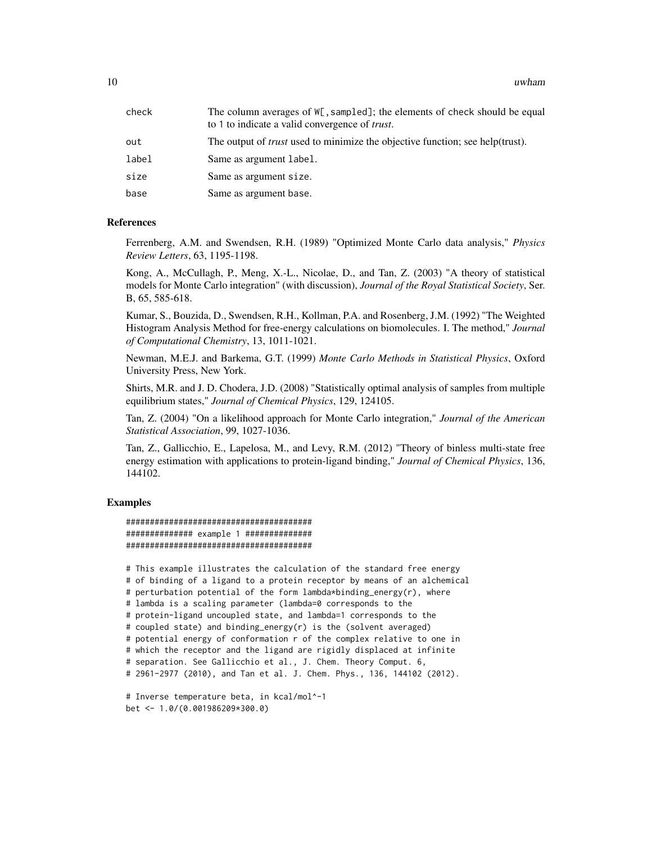10 uwham the contract of the contract of the contract of the contract of the contract of the contract of the contract of the contract of the contract of the contract of the contract of the contract of the contract of the c

| check | The column averages of $W[\,$ , sampled]; the elements of check should be equal<br>to 1 to indicate a valid convergence of <i>trust</i> . |
|-------|-------------------------------------------------------------------------------------------------------------------------------------------|
| out   | The output of <i>trust</i> used to minimize the objective function; see help(trust).                                                      |
| label | Same as argument label.                                                                                                                   |
| size  | Same as argument size.                                                                                                                    |
| base  | Same as argument base.                                                                                                                    |
|       |                                                                                                                                           |

#### References

Ferrenberg, A.M. and Swendsen, R.H. (1989) "Optimized Monte Carlo data analysis," *Physics Review Letters*, 63, 1195-1198.

Kong, A., McCullagh, P., Meng, X.-L., Nicolae, D., and Tan, Z. (2003) "A theory of statistical models for Monte Carlo integration" (with discussion), *Journal of the Royal Statistical Society*, Ser. B, 65, 585-618.

Kumar, S., Bouzida, D., Swendsen, R.H., Kollman, P.A. and Rosenberg, J.M. (1992) "The Weighted Histogram Analysis Method for free-energy calculations on biomolecules. I. The method," *Journal of Computational Chemistry*, 13, 1011-1021.

Newman, M.E.J. and Barkema, G.T. (1999) *Monte Carlo Methods in Statistical Physics*, Oxford University Press, New York.

Shirts, M.R. and J. D. Chodera, J.D. (2008) "Statistically optimal analysis of samples from multiple equilibrium states," *Journal of Chemical Physics*, 129, 124105.

Tan, Z. (2004) "On a likelihood approach for Monte Carlo integration," *Journal of the American Statistical Association*, 99, 1027-1036.

Tan, Z., Gallicchio, E., Lapelosa, M., and Levy, R.M. (2012) "Theory of binless multi-state free energy estimation with applications to protein-ligand binding," *Journal of Chemical Physics*, 136, 144102.

#### Examples

```
#######################################
############## example 1 ##############
#######################################
```
# This example illustrates the calculation of the standard free energy # of binding of a ligand to a protein receptor by means of an alchemical # perturbation potential of the form lambda\*binding\_energy(r), where # lambda is a scaling parameter (lambda=0 corresponds to the # protein-ligand uncoupled state, and lambda=1 corresponds to the # coupled state) and binding\_energy(r) is the (solvent averaged) # potential energy of conformation r of the complex relative to one in # which the receptor and the ligand are rigidly displaced at infinite # separation. See Gallicchio et al., J. Chem. Theory Comput. 6, # 2961-2977 (2010), and Tan et al. J. Chem. Phys., 136, 144102 (2012).

```
# Inverse temperature beta, in kcal/mol^-1
bet <- 1.0/(0.001986209*300.0)
```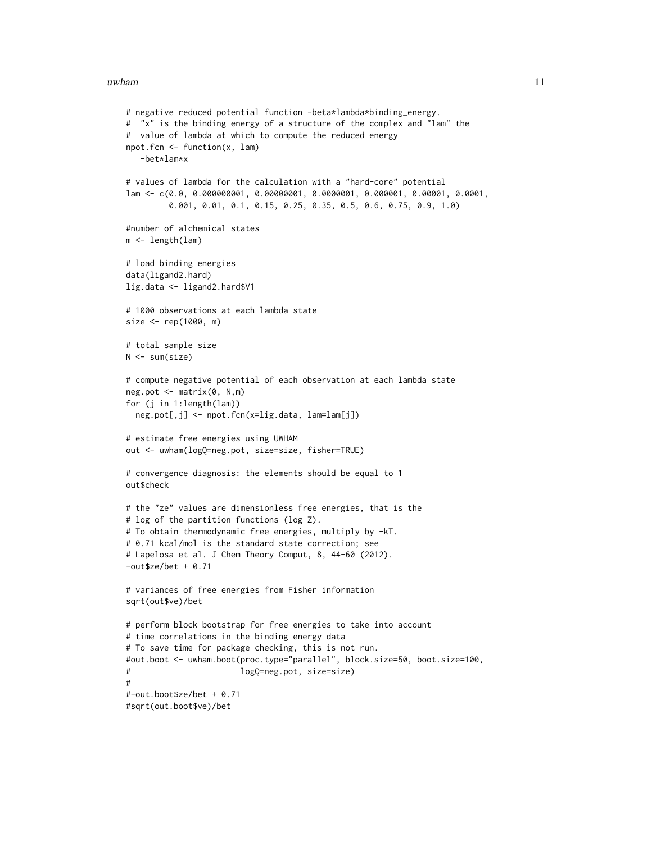#### uwham 11

```
# negative reduced potential function -beta*lambda*binding_energy.
# "x" is the binding energy of a structure of the complex and "lam" the
# value of lambda at which to compute the reduced energy
npot.fcn <- function(x, lam)
   -bet*lam*x
# values of lambda for the calculation with a "hard-core" potential
lam <- c(0.0, 0.000000001, 0.00000001, 0.0000001, 0.000001, 0.00001, 0.0001,
         0.001, 0.01, 0.1, 0.15, 0.25, 0.35, 0.5, 0.6, 0.75, 0.9, 1.0)
#number of alchemical states
m <- length(lam)
# load binding energies
data(ligand2.hard)
lig.data <- ligand2.hard$V1
# 1000 observations at each lambda state
size <- rep(1000, m)
# total sample size
N < - sum(size)
# compute negative potential of each observation at each lambda state
neg. pot \leq maxrix(0, N,m)for (j in 1:length(lam))
  neg.pot[,j] <- npot.fcn(x=lig.data, lam=lam[j])
# estimate free energies using UWHAM
out <- uwham(logQ=neg.pot, size=size, fisher=TRUE)
# convergence diagnosis: the elements should be equal to 1
out$check
# the "ze" values are dimensionless free energies, that is the
# log of the partition functions (log Z).
# To obtain thermodynamic free energies, multiply by -kT.
# 0.71 kcal/mol is the standard state correction; see
# Lapelosa et al. J Chem Theory Comput, 8, 44-60 (2012).
-out$ze/bet + 0.71
# variances of free energies from Fisher information
sqrt(out$ve)/bet
# perform block bootstrap for free energies to take into account
# time correlations in the binding energy data
# To save time for package checking, this is not run.
#out.boot <- uwham.boot(proc.type="parallel", block.size=50, boot.size=100,
# logQ=neg.pot, size=size)
#
#-out.boot$ze/bet + 0.71
#sqrt(out.boot$ve)/bet
```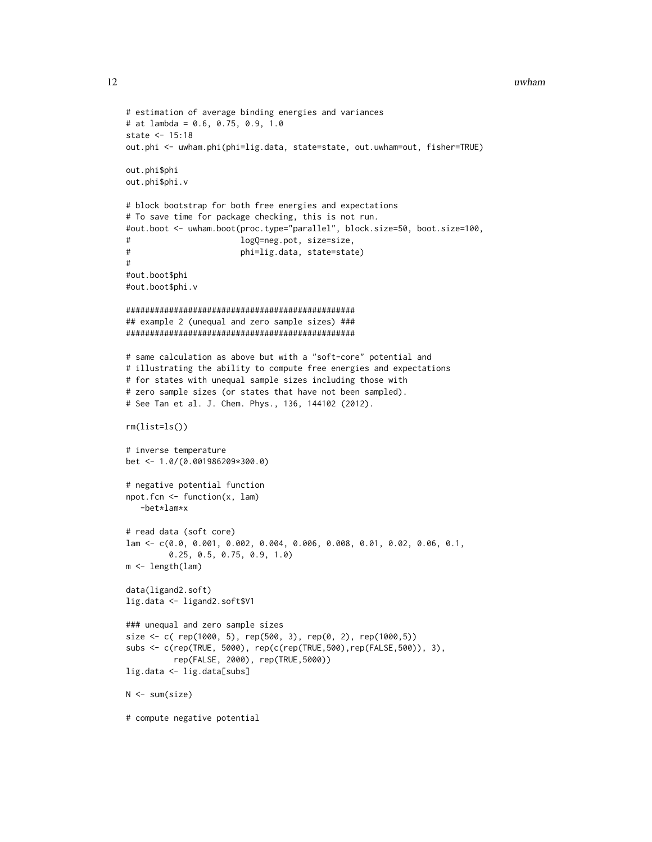```
# estimation of average binding energies and variances
# at lambda = 0.6, 0.75, 0.9, 1.0
state <- 15:18
out.phi <- uwham.phi(phi=lig.data, state=state, out.uwham=out, fisher=TRUE)
out.phi$phi
out.phi$phi.v
# block bootstrap for both free energies and expectations
# To save time for package checking, this is not run.
#out.boot <- uwham.boot(proc.type="parallel", block.size=50, boot.size=100,
# logQ=neg.pot, size=size,
# phi=lig.data, state=state)
#
#out.boot$phi
#out.boot$phi.v
################################################
## example 2 (unequal and zero sample sizes) ###
################################################
# same calculation as above but with a "soft-core" potential and
# illustrating the ability to compute free energies and expectations
# for states with unequal sample sizes including those with
# zero sample sizes (or states that have not been sampled).
# See Tan et al. J. Chem. Phys., 136, 144102 (2012).
rm(list=ls())
# inverse temperature
bet <- 1.0/(0.001986209*300.0)
# negative potential function
npot.fcn <- function(x, lam)
   -bet*lam*x
# read data (soft core)
lam <- c(0.0, 0.001, 0.002, 0.004, 0.006, 0.008, 0.01, 0.02, 0.06, 0.1,
         0.25, 0.5, 0.75, 0.9, 1.0)
m <- length(lam)
data(ligand2.soft)
lig.data <- ligand2.soft$V1
### unequal and zero sample sizes
size \leq c( rep(1000, 5), rep(500, 3), rep(0, 2), rep(1000,5))
subs <- c(rep(TRUE, 5000), rep(c(rep(TRUE,500),rep(FALSE,500)), 3),
         rep(FALSE, 2000), rep(TRUE,5000))
lig.data <- lig.data[subs]
N <- sum(size)
# compute negative potential
```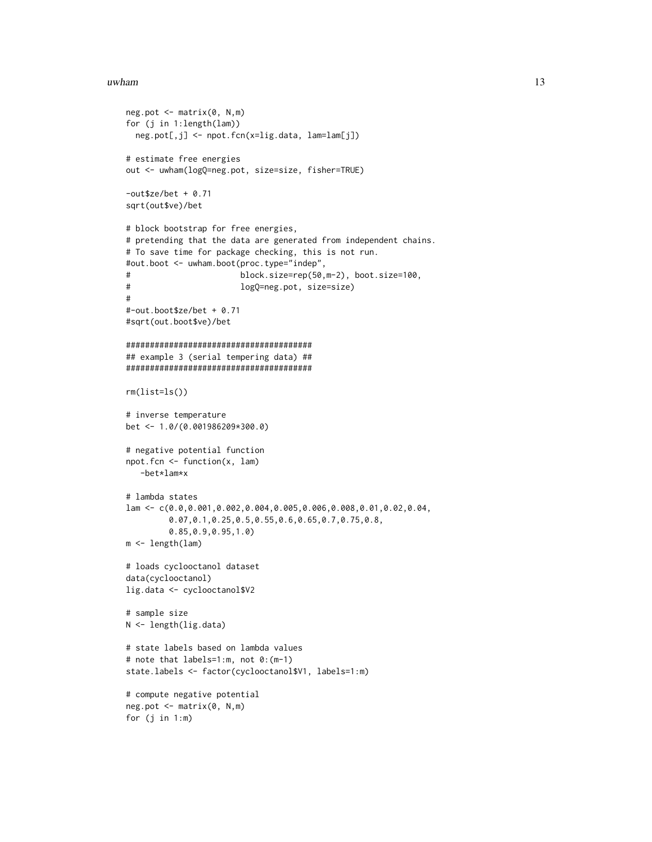#### $uwham$  13

```
neg.pot <- matrix(0, N,m)
for (j in 1:length(lam))
 neg.pot[,j] <- npot.fcn(x=lig.data, lam=lam[j])
# estimate free energies
out <- uwham(logQ=neg.pot, size=size, fisher=TRUE)
-out$ze/bet + 0.71
sqrt(out$ve)/bet
# block bootstrap for free energies,
# pretending that the data are generated from independent chains.
# To save time for package checking, this is not run.
#out.boot <- uwham.boot(proc.type="indep",
# block.size=rep(50,m-2), boot.size=100,
# logQ=neg.pot, size=size)
#
#-out.boot$ze/bet + 0.71
#sqrt(out.boot$ve)/bet
#######################################
## example 3 (serial tempering data) ##
#######################################
rm(list=ls())
# inverse temperature
bet <- 1.0/(0.001986209*300.0)
# negative potential function
npot.fcn <- function(x, lam)
  -bet*lam*x
# lambda states
lam <- c(0.0,0.001,0.002,0.004,0.005,0.006,0.008,0.01,0.02,0.04,
         0.07,0.1,0.25,0.5,0.55,0.6,0.65,0.7,0.75,0.8,
        0.85,0.9,0.95,1.0)
m <- length(lam)
# loads cyclooctanol dataset
data(cyclooctanol)
lig.data <- cyclooctanol$V2
# sample size
N <- length(lig.data)
# state labels based on lambda values
# note that labels=1:m, not 0:(m-1)
state.labels <- factor(cyclooctanol$V1, labels=1:m)
# compute negative potential
neg.pot <- matrix(0, N,m)
for (j in 1:m)
```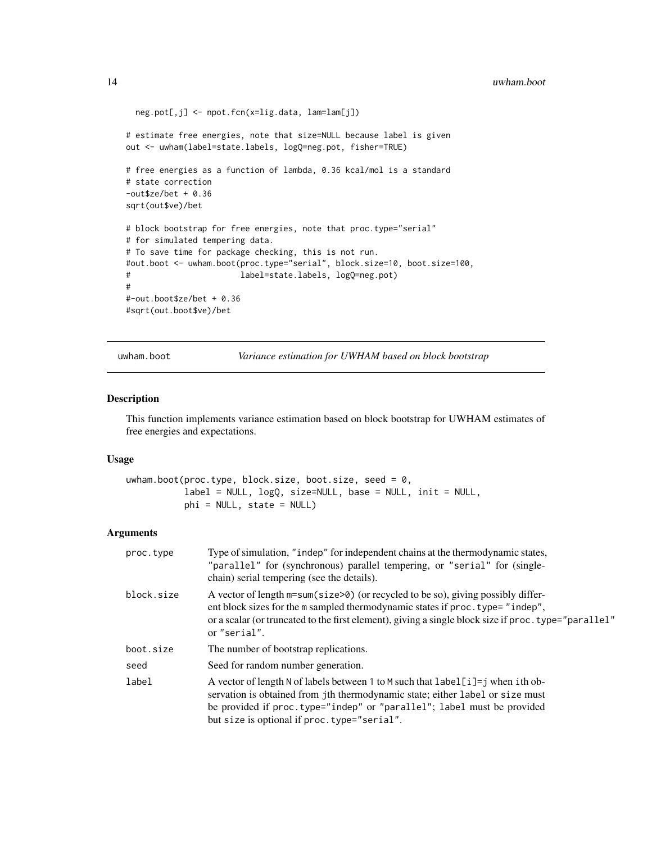```
neg.pot[,j] <- npot.fcn(x=lig.data, lam=lam[j])
# estimate free energies, note that size=NULL because label is given
out <- uwham(label=state.labels, logQ=neg.pot, fisher=TRUE)
# free energies as a function of lambda, 0.36 kcal/mol is a standard
# state correction
-out$ze/bet + 0.36
sqrt(out$ve)/bet
# block bootstrap for free energies, note that proc.type="serial"
# for simulated tempering data.
# To save time for package checking, this is not run.
#out.boot <- uwham.boot(proc.type="serial", block.size=10, boot.size=100,
# label=state.labels, logQ=neg.pot)
#
#-out.boot$ze/bet + 0.36
#sqrt(out.boot$ve)/bet
```
<span id="page-13-1"></span>uwham.boot *Variance estimation for UWHAM based on block bootstrap*

#### Description

This function implements variance estimation based on block bootstrap for UWHAM estimates of free energies and expectations.

#### Usage

```
uwham.boot(proc.type, block.size, boot.size, seed = 0,
          label = NULL, logQ, size=NULL, base = NULL, init = NULL,
          phi = NULL, state = NULL)
```
#### Arguments

| proc.type  | Type of simulation, "indep" for independent chains at the thermodynamic states,<br>"parallel" for (synchronous) parallel tempering, or "serial" for (single-<br>chain) serial tempering (see the details).                                                                                      |
|------------|-------------------------------------------------------------------------------------------------------------------------------------------------------------------------------------------------------------------------------------------------------------------------------------------------|
| block.size | A vector of length $m = sum(size > 0)$ (or recycled to be so), giving possibly differ-<br>ent block sizes for the m sampled thermodynamic states if proc. type="indep",<br>or a scalar (or truncated to the first element), giving a single block size if proc. type="parallel"<br>or "serial". |
| boot.size  | The number of bootstrap replications.                                                                                                                                                                                                                                                           |
| seed       | Seed for random number generation.                                                                                                                                                                                                                                                              |
| label      | A vector of length N of labels between 1 to M such that $label[i]=j$ when ith ob-<br>servation is obtained from jth thermodynamic state; either label or size must<br>be provided if proc.type="indep" or "parallel"; label must be provided<br>but size is optional if proc. type="serial".    |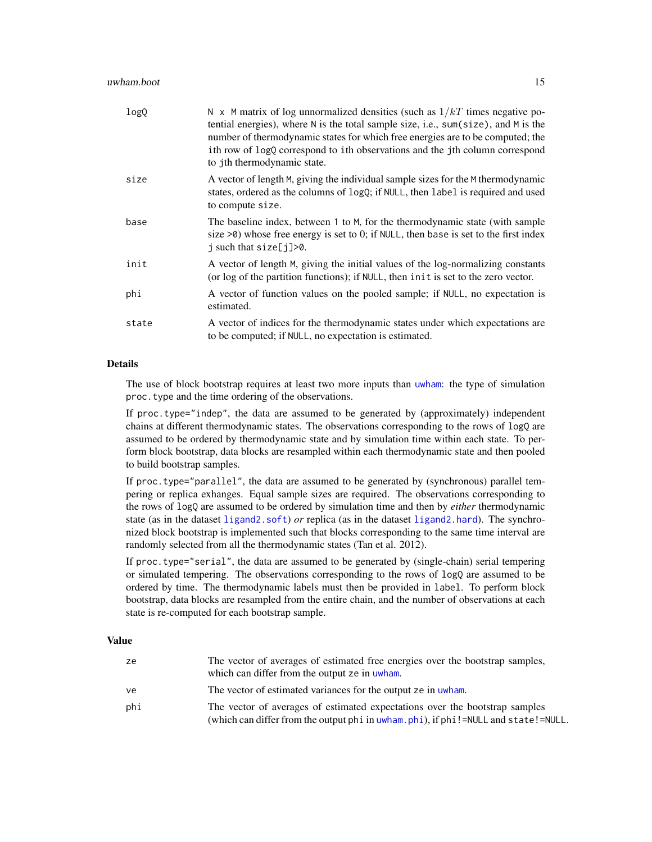#### <span id="page-14-0"></span>uwham.boot 15

| logQ  | N x M matrix of log unnormalized densities (such as $1/kT$ times negative po-<br>tential energies), where N is the total sample size, i.e., sum(size), and M is the<br>number of thermodynamic states for which free energies are to be computed; the<br>ith row of logQ correspond to ith observations and the jth column correspond<br>to jth thermodynamic state. |
|-------|----------------------------------------------------------------------------------------------------------------------------------------------------------------------------------------------------------------------------------------------------------------------------------------------------------------------------------------------------------------------|
| size  | A vector of length M, giving the individual sample sizes for the M thermodynamic<br>states, ordered as the columns of logQ; if NULL, then label is required and used<br>to compute size.                                                                                                                                                                             |
| base  | The baseline index, between 1 to M, for the thermodynamic state (with sample<br>size $>0$ ) whose free energy is set to 0; if NULL, then base is set to the first index<br>$j$ such that size[ $j$ ]>0.                                                                                                                                                              |
| init  | A vector of length M, giving the initial values of the log-normalizing constants<br>(or log of the partition functions); if NULL, then init is set to the zero vector.                                                                                                                                                                                               |
| phi   | A vector of function values on the pooled sample; if NULL, no expectation is<br>estimated.                                                                                                                                                                                                                                                                           |
| state | A vector of indices for the thermodynamic states under which expectations are<br>to be computed; if NULL, no expectation is estimated.                                                                                                                                                                                                                               |

#### Details

The use of block bootstrap requires at least two more inputs than [uwham](#page-7-1): the type of simulation proc.type and the time ordering of the observations.

If proc.type="indep", the data are assumed to be generated by (approximately) independent chains at different thermodynamic states. The observations corresponding to the rows of logQ are assumed to be ordered by thermodynamic state and by simulation time within each state. To perform block bootstrap, data blocks are resampled within each thermodynamic state and then pooled to build bootstrap samples.

If proc.type="parallel", the data are assumed to be generated by (synchronous) parallel tempering or replica exhanges. Equal sample sizes are required. The observations corresponding to the rows of logQ are assumed to be ordered by simulation time and then by *either* thermodynamic state (as in the dataset [ligand2.soft](#page-5-1)) *or* replica (as in the dataset [ligand2.hard](#page-4-1)). The synchronized block bootstrap is implemented such that blocks corresponding to the same time interval are randomly selected from all the thermodynamic states (Tan et al. 2012).

If proc.type="serial", the data are assumed to be generated by (single-chain) serial tempering or simulated tempering. The observations corresponding to the rows of logQ are assumed to be ordered by time. The thermodynamic labels must then be provided in label. To perform block bootstrap, data blocks are resampled from the entire chain, and the number of observations at each state is re-computed for each bootstrap sample.

| ze  | The vector of averages of estimated free energies over the bootstrap samples,<br>which can differ from the output ze in uwham.                                    |
|-----|-------------------------------------------------------------------------------------------------------------------------------------------------------------------|
| ve  | The vector of estimated variances for the output ze in uwham.                                                                                                     |
| phi | The vector of averages of estimated expectations over the bootstrap samples<br>(which can differ from the output phi in uwham.phi), if phi!=NULL and state!=NULL. |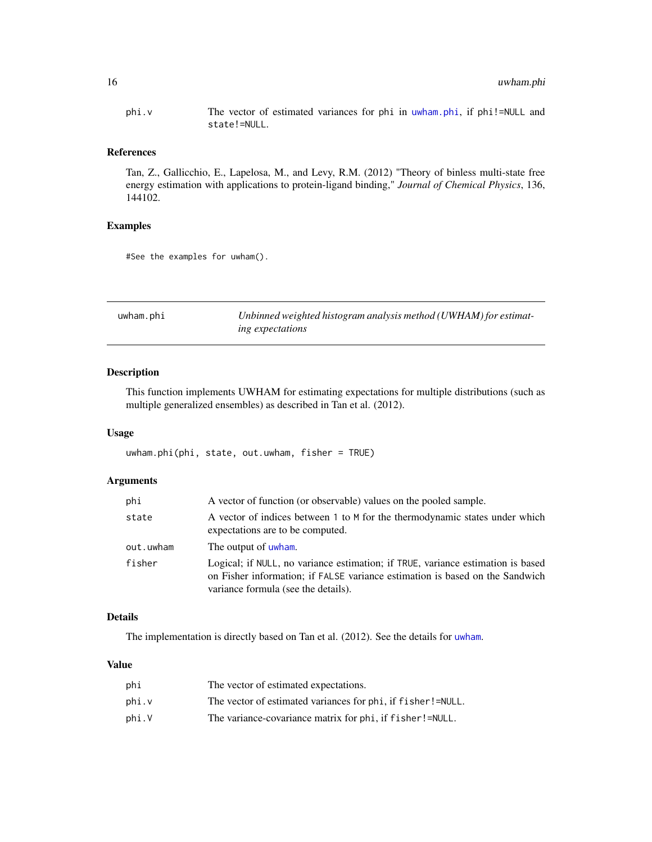<span id="page-15-0"></span>phi.v The vector of estimated variances for phi in [uwham.phi](#page-15-1), if phi!=NULL and state!=NULL.

#### References

Tan, Z., Gallicchio, E., Lapelosa, M., and Levy, R.M. (2012) "Theory of binless multi-state free energy estimation with applications to protein-ligand binding," *Journal of Chemical Physics*, 136, 144102.

#### Examples

#See the examples for uwham().

<span id="page-15-1"></span>

| uwham.phi | Unbinned weighted histogram analysis method (UWHAM) for estimat- |
|-----------|------------------------------------------------------------------|
|           | <i>ing expectations</i>                                          |

## Description

This function implements UWHAM for estimating expectations for multiple distributions (such as multiple generalized ensembles) as described in Tan et al. (2012).

## Usage

uwham.phi(phi, state, out.uwham, fisher = TRUE)

## Arguments

| phi       | A vector of function (or observable) values on the pooled sample.                                                                                                                                      |
|-----------|--------------------------------------------------------------------------------------------------------------------------------------------------------------------------------------------------------|
| state     | A vector of indices between 1 to M for the thermodynamic states under which<br>expectations are to be computed.                                                                                        |
| out.uwham | The output of <i>uwham</i> .                                                                                                                                                                           |
| fisher    | Logical; if NULL, no variance estimation; if TRUE, variance estimation is based<br>on Fisher information; if FALSE variance estimation is based on the Sandwich<br>variance formula (see the details). |

## Details

The implementation is directly based on Tan et al. (2012). See the details for [uwham](#page-7-1).

| phi   | The vector of estimated expectations.                         |
|-------|---------------------------------------------------------------|
| phi.v | The vector of estimated variances for phi, if f i sher!=NULL. |
| phi.V | The variance-covariance matrix for phi, if f i sher!=NULL.    |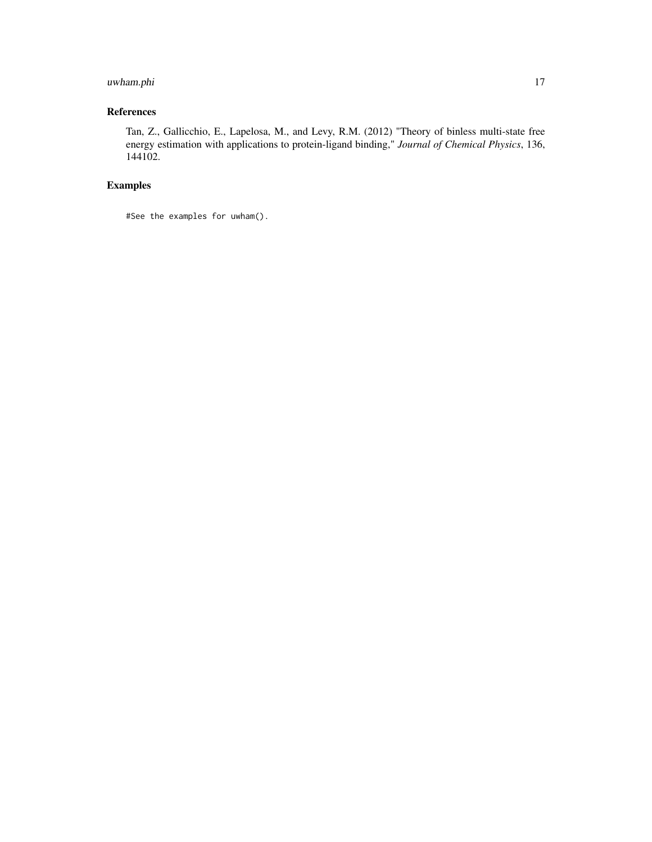## uwham.phi 17

## References

Tan, Z., Gallicchio, E., Lapelosa, M., and Levy, R.M. (2012) "Theory of binless multi-state free energy estimation with applications to protein-ligand binding," *Journal of Chemical Physics*, 136, 144102.

## Examples

```
#See the examples for uwham().
```